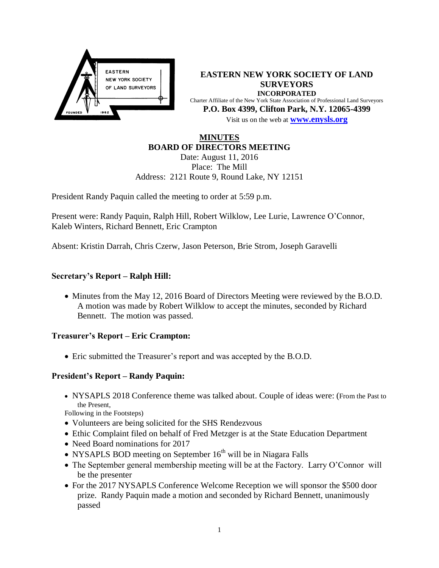

**EASTERN NEW YORK SOCIETY OF LAND SURVEYORS INCORPORATED** Charter Affiliate of the New York State Association of Professional Land Surveyors **P.O. Box 4399, Clifton Park, N.Y. 12065-4399** Visit us on the web at **[www.e](http://www.enysls.org/)nysls.org**

# **MINUTES BOARD OF DIRECTORS MEETING**

Date: August 11, 2016 Place: The Mill Address: 2121 Route 9, Round Lake, NY 12151

President Randy Paquin called the meeting to order at 5:59 p.m.

Present were: Randy Paquin, Ralph Hill, Robert Wilklow, Lee Lurie, Lawrence O'Connor, Kaleb Winters, Richard Bennett, Eric Crampton

Absent: Kristin Darrah, Chris Czerw, Jason Peterson, Brie Strom, Joseph Garavelli

# **Secretary's Report – Ralph Hill:**

• Minutes from the May 12, 2016 Board of Directors Meeting were reviewed by the B.O.D. A motion was made by Robert Wilklow to accept the minutes, seconded by Richard Bennett. The motion was passed.

#### **Treasurer's Report – Eric Crampton:**

Eric submitted the Treasurer's report and was accepted by the B.O.D.

# **President's Report – Randy Paquin:**

 NYSAPLS 2018 Conference theme was talked about. Couple of ideas were: (From the Past to the Present,

Following in the Footsteps)

- Volunteers are being solicited for the SHS Rendezvous
- Ethic Complaint filed on behalf of Fred Metzger is at the State Education Department
- Need Board nominations for 2017
- NYSAPLS BOD meeting on September  $16<sup>th</sup>$  will be in Niagara Falls
- The September general membership meeting will be at the Factory. Larry O'Connor will be the presenter
- For the 2017 NYSAPLS Conference Welcome Reception we will sponsor the \$500 door prize. Randy Paquin made a motion and seconded by Richard Bennett, unanimously passed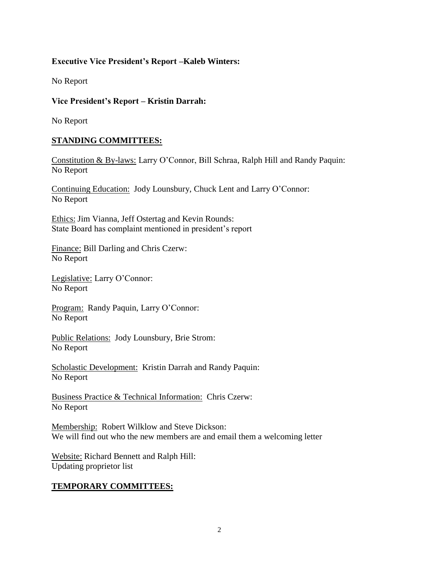# **Executive Vice President's Report –Kaleb Winters:**

No Report

## **Vice President's Report – Kristin Darrah:**

No Report

## **STANDING COMMITTEES:**

Constitution & By-laws: Larry O'Connor, Bill Schraa, Ralph Hill and Randy Paquin: No Report

Continuing Education: Jody Lounsbury, Chuck Lent and Larry O'Connor: No Report

Ethics: Jim Vianna, Jeff Ostertag and Kevin Rounds: State Board has complaint mentioned in president's report

Finance: Bill Darling and Chris Czerw: No Report

Legislative: Larry O'Connor: No Report

Program: Randy Paquin, Larry O'Connor: No Report

Public Relations: Jody Lounsbury, Brie Strom: No Report

Scholastic Development: Kristin Darrah and Randy Paquin: No Report

Business Practice & Technical Information: Chris Czerw: No Report

Membership: Robert Wilklow and Steve Dickson: We will find out who the new members are and email them a welcoming letter

Website: Richard Bennett and Ralph Hill: Updating proprietor list

# **TEMPORARY COMMITTEES:**